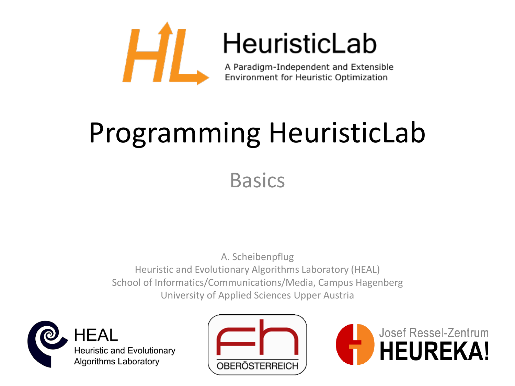

## HeuristicLab

A Paradigm-Independent and Extensible Environment for Heuristic Optimization

# Programming HeuristicLab

**Basics** 

A. Scheibenpflug Heuristic and Evolutionary Algorithms Laboratory (HEAL) School of Informatics/Communications/Media, Campus Hagenberg University of Applied Sciences Upper Austria





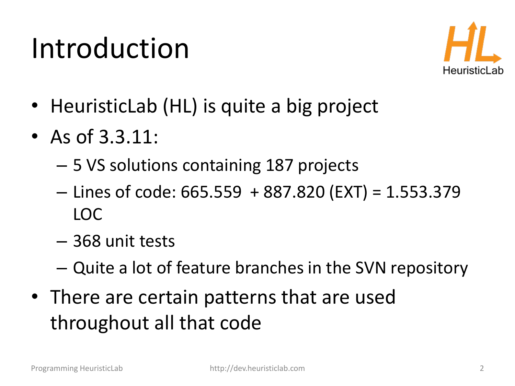#### Introduction



- HeuristicLab (HL) is quite a big project
- As of 3.3.11:
	- 5 VS solutions containing 187 projects
	- $-$  Lines of code: 665.559 + 887.820 (EXT) = 1.553.379 LOC
	- 368 unit tests
	- Quite a lot of feature branches in the SVN repository
- There are certain patterns that are used throughout all that code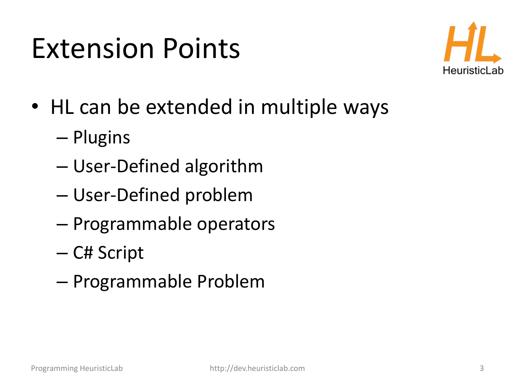### Extension Points



- HL can be extended in multiple ways
	- Plugins
	- User-Defined algorithm
	- User-Defined problem
	- Programmable operators
	- C# Script
	- Programmable Problem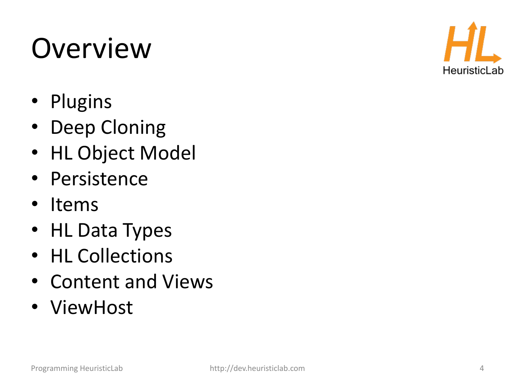Overview

- Plugins
- Deep Cloning
- HL Object Model
- Persistence
- Items
- HL Data Types
- HL Collections
- Content and Views
- ViewHost

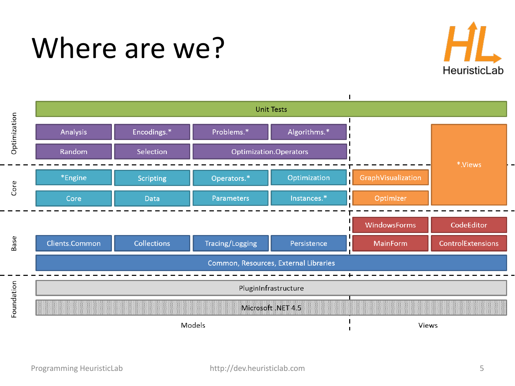#### Where are we?



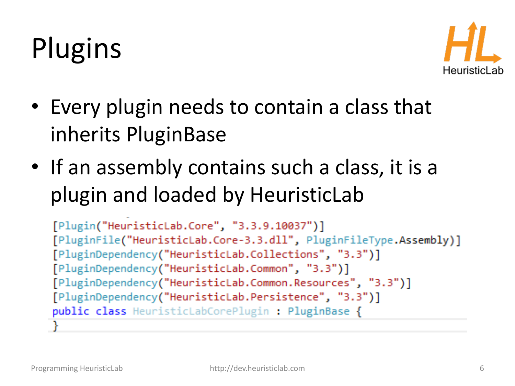# Plugins



- Every plugin needs to contain a class that inherits PluginBase
- If an assembly contains such a class, it is a plugin and loaded by HeuristicLab

```
[Plugin("HeuristicLab.Core", "3.3.9.10037")]
[PluginFile("HeuristicLab.Core-3.3.dll", PluginFileType.Assembly)]
[PluginDependency("HeuristicLab.Collections", "3.3")]
[PluginDependency("HeuristicLab.Common", "3.3")]
[PluginDependency("HeuristicLab.Common.Resources", "3.3")]
[PluginDependency("HeuristicLab.Persistence", "3.3")]
public class HeuristicLabCorePlugin : PluginBase {
```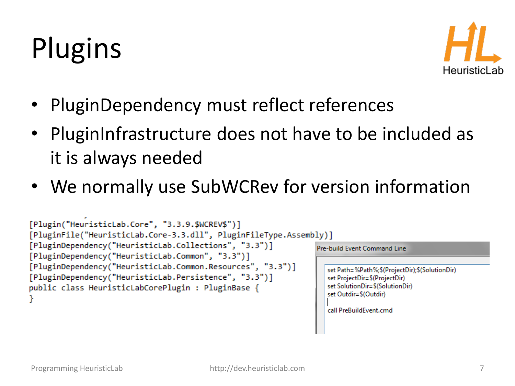# Plugins



- PluginDependency must reflect references
- PluginInfrastructure does not have to be included as it is always needed
- We normally use SubWCRev for version information

```
[Plugin("HeuristicLab.Core", "3.3.9.$WCREV$")]
[PluginFile("HeuristicLab.Core-3.3.dll", PluginFileType.Assembly)]
[PluginDependency("HeuristicLab.Collections", "3.3")]
                                                                        Pre-build Event Command Line
[PluginDependency("HeuristicLab.Common", "3.3")]
[PluginDependency("HeuristicLab.Common.Resources", "3.3")]
                                                                          set Path=%Path%;$(ProjectDir);$(SolutionDir)
[PluginDependency("HeuristicLab.Persistence", "3.3")]
                                                                          set ProjectDir=$(ProjectDir)
                                                                          set SolutionDir=$(SolutionDir)
public class HeuristicLabCorePlugin : PluginBase {
                                                                          set Outdir=$(Outdir)
                                                                          call PreBuildEvent.cmd
```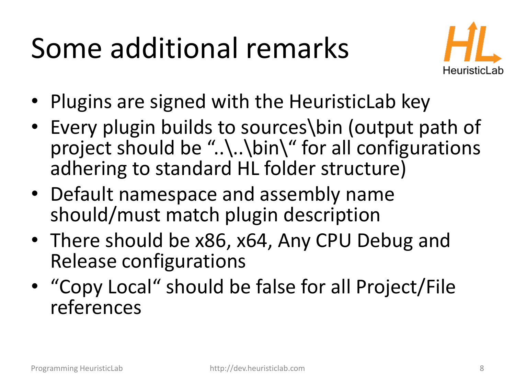# Some additional remarks



- Plugins are signed with the HeuristicLab key
- Every plugin builds to sources\bin (output path of project should be "..\..\bin\" for all configurations adhering to standard HL folder structure)
- Default namespace and assembly name should/must match plugin description
- There should be x86, x64, Any CPU Debug and Release configurations
- "Copy Local" should be false for all Project/File references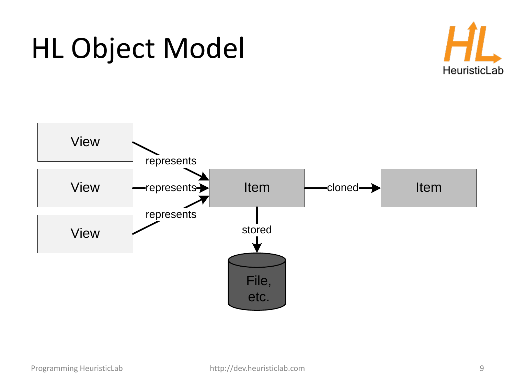



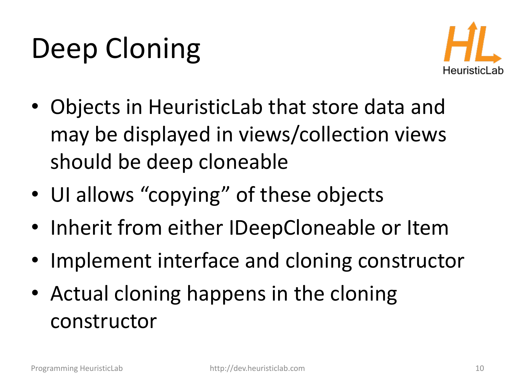# Deep Cloning



- Objects in HeuristicLab that store data and may be displayed in views/collection views should be deep cloneable
- UI allows "copying" of these objects
- Inherit from either IDeepCloneable or Item
- Implement interface and cloning constructor
- Actual cloning happens in the cloning constructor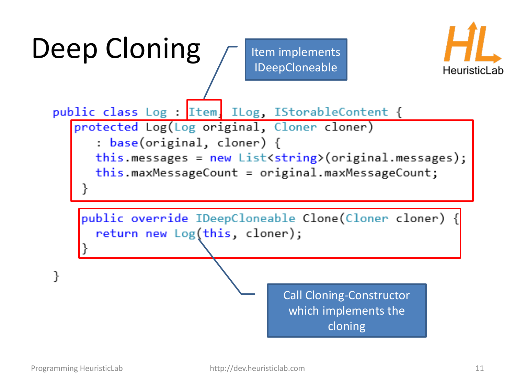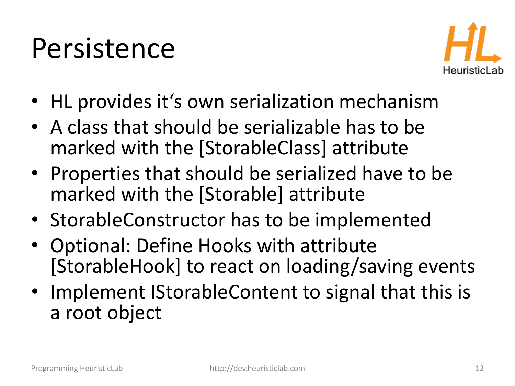#### Persistence



- HL provides it's own serialization mechanism
- A class that should be serializable has to be marked with the [StorableClass] attribute
- Properties that should be serialized have to be marked with the [Storable] attribute
- StorableConstructor has to be implemented
- Optional: Define Hooks with attribute [StorableHook] to react on loading/saving events
- Implement IStorableContent to signal that this is a root object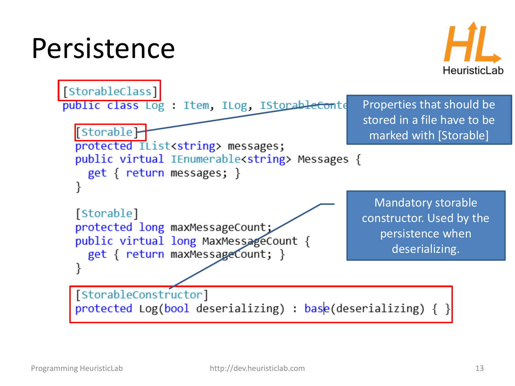#### Persistence



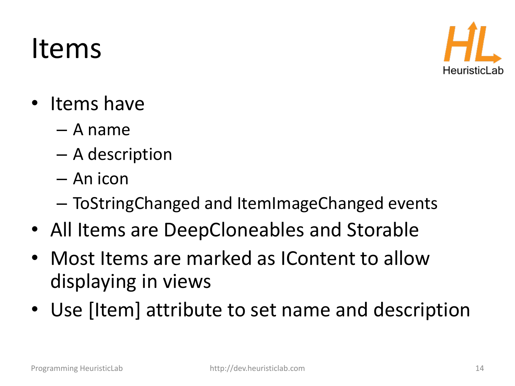#### Items



- Items have
	- A name
	- A description
	- An icon
	- ToStringChanged and ItemImageChanged events
- All Items are DeepCloneables and Storable
- Most Items are marked as IContent to allow displaying in views
- Use [Item] attribute to set name and description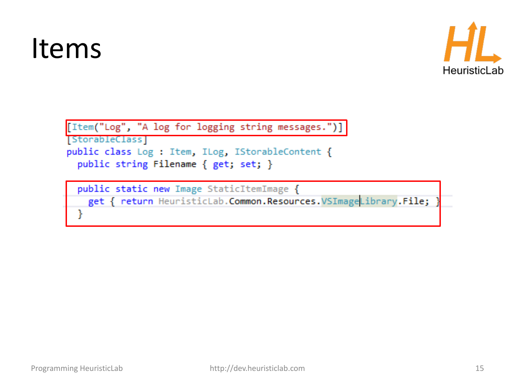#### Items



```
[Item("Log", "A log for logging string messages.")]
StorableClass
public class Log : Item, ILog, IStorableContent {
 public string Filename { get; set; }
```
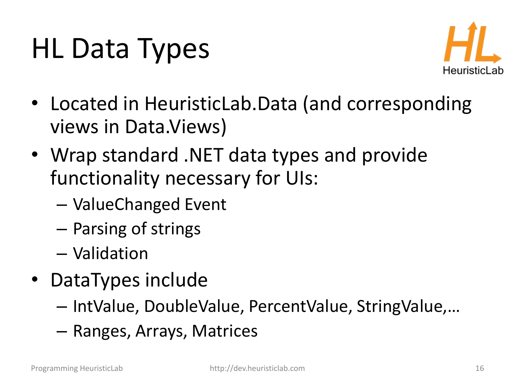# HL Data Types



- Located in HeuristicLab.Data (and corresponding views in Data.Views)
- Wrap standard .NET data types and provide functionality necessary for UIs:
	- ValueChanged Event
	- Parsing of strings
	- Validation
- DataTypes include
	- IntValue, DoubleValue, PercentValue, StringValue,…
	- Ranges, Arrays, Matrices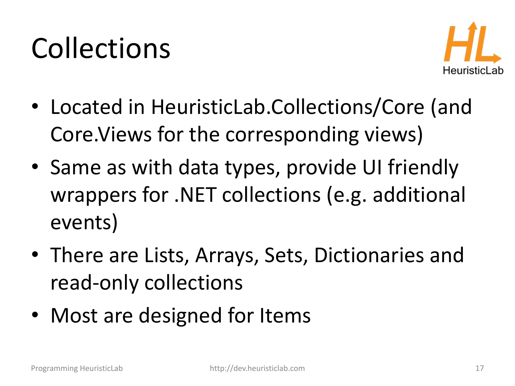# Collections



- Located in HeuristicLab.Collections/Core (and Core.Views for the corresponding views)
- Same as with data types, provide UI friendly wrappers for .NET collections (e.g. additional events)
- There are Lists, Arrays, Sets, Dictionaries and read-only collections
- Most are designed for Items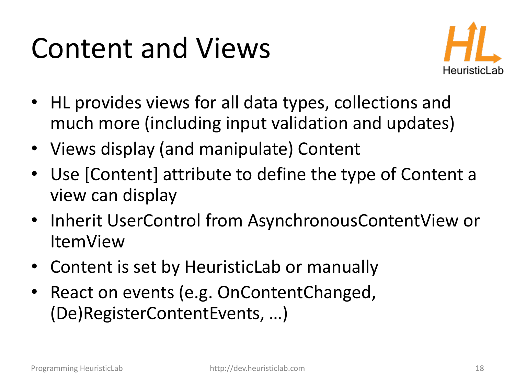### Content and Views



- HL provides views for all data types, collections and much more (including input validation and updates)
- Views display (and manipulate) Content
- Use [Content] attribute to define the type of Content a view can display
- Inherit UserControl from AsynchronousContentView or ItemView
- Content is set by HeuristicLab or manually
- React on events (e.g. OnContentChanged, (De)RegisterContentEvents, …)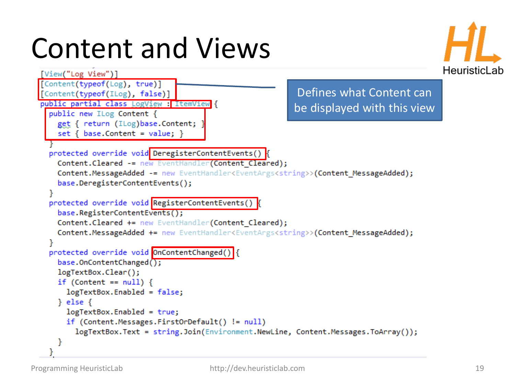## Content and Views



```
[View("Log View")]
[Content(typeof(Log), true)]
                                                           Defines what Content can 
[Content(typeof(ILog), false)]
public partial class LogView : ItemView {
                                                          be displayed with this viewpublic new ILog Content {
   get { return (ILog)base.Content;
    set { baseContent = value; }
  protected override void DeregisterContentEvents() {
   Content. Cleared -= new EventHandler(Content Cleared);
   Content.MessageAdded -= new EventHandler<EventArgs<string>>(Content MessageAdded);
    base.DeregisterContentEvents();
  protected override void RegisterContentEvents()
    base.RegisterContentEvents();
   Content. Cleared += new EventHandler(Content Cleared);
   Content.MessageAdded += new EventHandler<EventArgs<string>>(Content MessageAdded);
  ł
  protected override void OnContentChanged() {
    base. OnContentChange();
   logTextBox.Clear();
   if (Content == null) {
      logTextBox.Enabled = false;
   \} else \{logTextBox.Enabeled = true;if (Content.Messages.FirstOrDefault() != null)
        logTextBox.Text = string.Join(Environment.NewLine, Content.Messages.ToArray());
    ŀ
```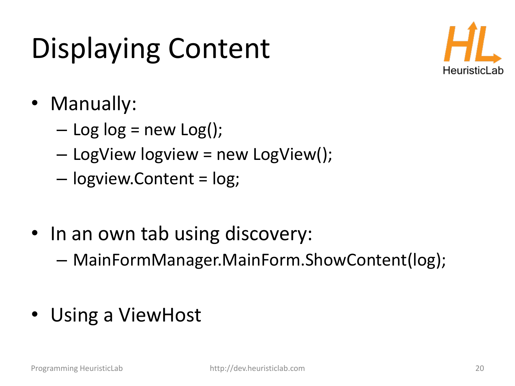# Displaying Content



- Manually:
	- $-$  Log log = new Log();
	- LogView logview = new LogView();
	- logview.Content = log;
- In an own tab using discovery:
	- MainFormManager.MainForm.ShowContent(log);
- Using a ViewHost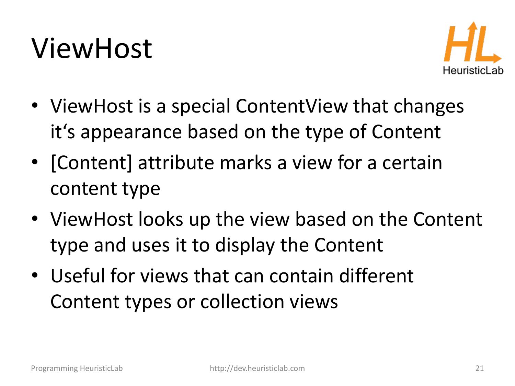#### ViewHost



- ViewHost is a special ContentView that changes it's appearance based on the type of Content
- [Content] attribute marks a view for a certain content type
- ViewHost looks up the view based on the Content type and uses it to display the Content
- Useful for views that can contain different Content types or collection views